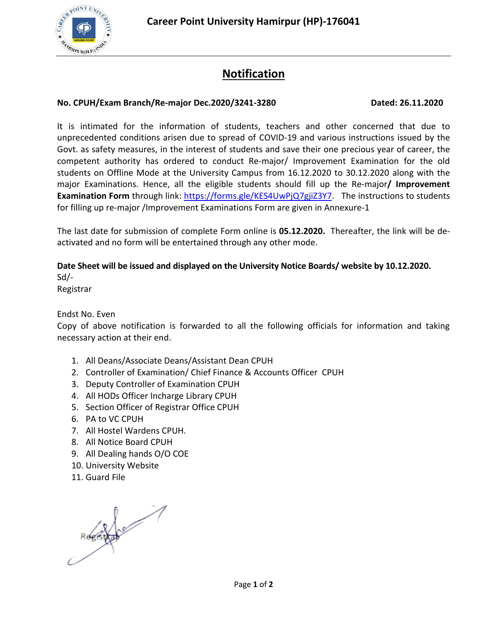

# **Notification**

## **No. CPUH/Exam Branch/Re-major Dec.2020/3241-3280 Dated: 26.11.2020**

It is intimated for the information of students, teachers and other concerned that due to unprecedented conditions arisen due to spread of COVID-19 and various instructions issued by the Govt. as safety measures, in the interest of students and save their one precious year of career, the competent authority has ordered to conduct Re-major/ Improvement Examination for the old students on Offline Mode at the University Campus from 16.12.2020 to 30.12.2020 along with the major Examinations. Hence, all the eligible students should fill up the Re-major**/ Improvement Examination Form** through link: https://forms.gle/KES4UwPjQ7gjiZ3Y7. The instructions to students for filling up re-major /Improvement Examinations Form are given in Annexure-1

The last date for submission of complete Form online is **05.12.2020.** Thereafter, the link will be deactivated and no form will be entertained through any other mode.

## **Date Sheet will be issued and displayed on the University Notice Boards/ website by 10.12.2020.**

Sd/- Registrar

Endst No. Even

Copy of above notification is forwarded to all the following officials for information and taking necessary action at their end.

- 1. All Deans/Associate Deans/Assistant Dean CPUH
- 2. Controller of Examination/ Chief Finance & Accounts Officer CPUH
- 3. Deputy Controller of Examination CPUH
- 4. All HODs Officer Incharge Library CPUH
- 5. Section Officer of Registrar Office CPUH
- 6. PA to VC CPUH
- 7. All Hostel Wardens CPUH.
- 8. All Notice Board CPUH
- 9. All Dealing hands O/O COE
- 10. University Website
- 11. Guard File

ROBBY